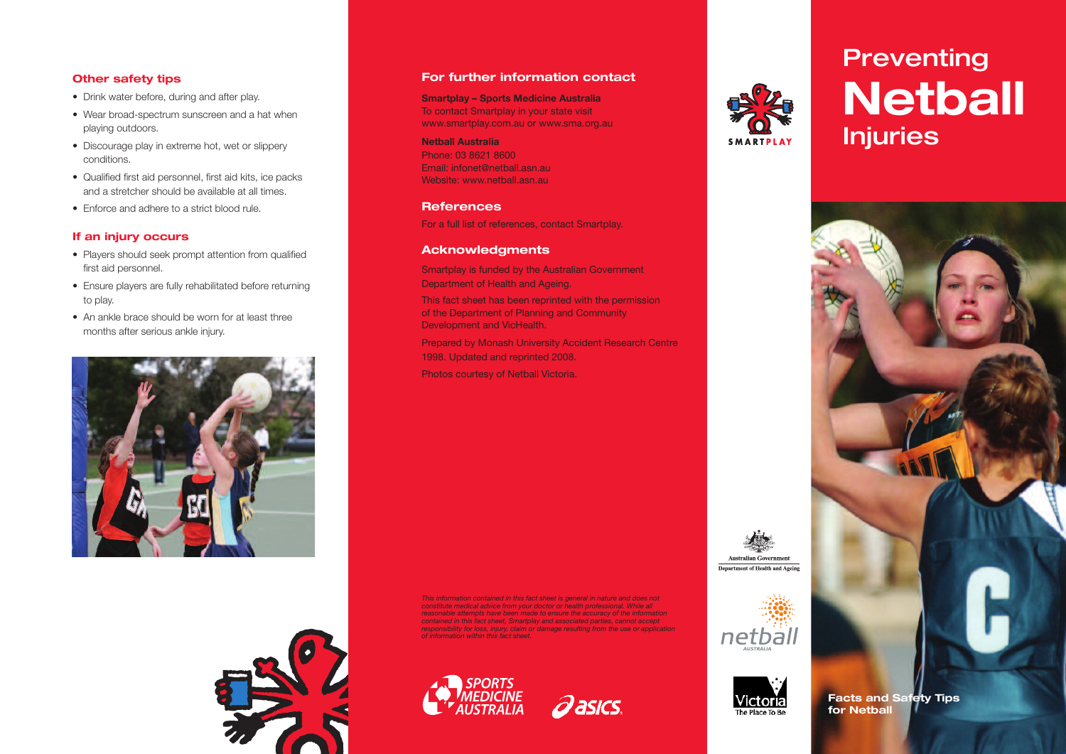### **Other safety tips**

- Drink water before, during and after play.
- Wear broad-spectrum sunscreen and a hat when playing outdoors.
- Discourage play in extreme hot, wet or slippery conditions.
- Qualified first aid personnel, first aid kits, ice packs and a stretcher should be available at all times.
- Enforce and adhere to a strict blood rule.

#### **If an injury occurs**

- Players should seek prompt attention from qualified first aid personnel.
- Ensure players are fully rehabilitated before returning to play.
- An ankle brace should be worn for at least three months after serious ankle injury.





#### **For further information contact**

**Smartplay – Sports Medicine Australia** To contact Smartplay in your state visit www.smartplay.com.au or www.sma.org.au

**Netball Australia** Phone: 03 8621 8600 Email: infonet@netball.asn.au Website: www.netball.asn.au

#### **References**

For a full list of references, contact Smartplay.

#### **Acknowledgments**

Smartplay is funded by the Australian Government Department of Health and Ageing. This fact sheet has been reprinted with the permission of the Department of Planning and Community Development and VicHealth.

Prepared by Monash University Accident Research Centre 1998. Updated and reprinted 2008. Photos courtesy of Netball Victoria.

*This information contained in this fact sheet is general in nature and does not constitute medical advice from your doctor or health professional. While all reasonable attempts have been made to ensure the accuracy of the information contained in this fact sheet, Smartplay and associated parties, cannot accept* responsibility for loss, injury, claim or damage resulting from the use or application<br>of information within this fact sheet.







# **Preventing Netball Injuries**